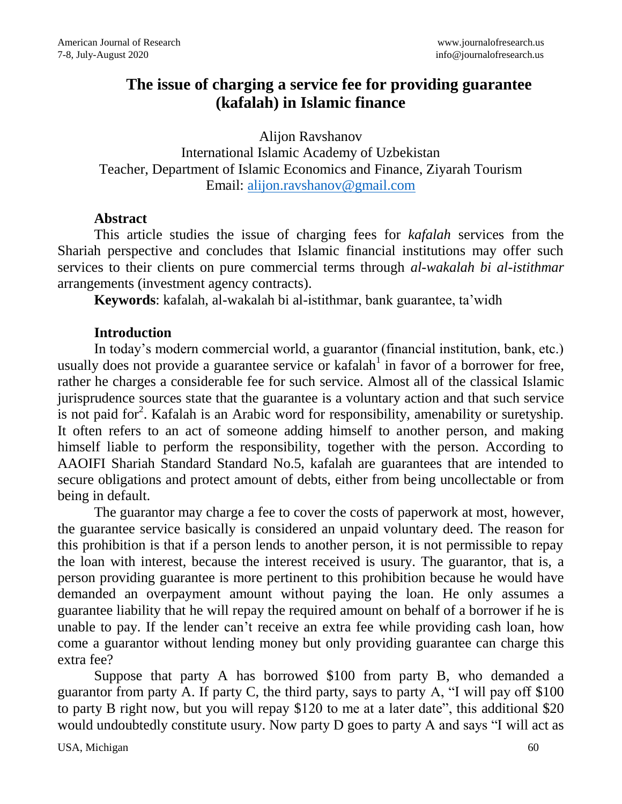# **The issue of charging a service fee for providing guarantee (kafalah) in Islamic finance**

Alijon Ravshanov

International Islamic Academy of Uzbekistan Teacher, Department of Islamic Economics and Finance, Ziyarah Tourism Email: [alijon.ravshanov@gmail.com](mailto:alijon.ravshanov@gmail.com)

#### **Abstract**

This article studies the issue of charging fees for *kafalah* services from the Shariah perspective and concludes that Islamic financial institutions may offer such services to their clients on pure commercial terms through *al-wakalah bi al-istithmar* arrangements (investment agency contracts).

**Keywords**: kafalah, al-wakalah bi al-istithmar, bank guarantee, ta'widh

### **Introduction**

In today's modern commercial world, a guarantor (financial institution, bank, etc.) usually does not provide a guarantee service or kafalah $1$  in favor of a borrower for free, rather he charges a considerable fee for such service. Almost all of the classical Islamic jurisprudence sources state that the guarantee is a voluntary action and that such service is not paid for<sup>2</sup>. Kafalah is an Arabic word for responsibility, amenability or suretyship. It often refers to an act of someone adding himself to another person, and making himself liable to perform the responsibility, together with the person. According to AAOIFI Shariah Standard Standard No.5, kafalah are guarantees that are intended to secure obligations and protect amount of debts, either from being uncollectable or from being in default.

The guarantor may charge a fee to cover the costs of paperwork at most, however, the guarantee service basically is considered an unpaid voluntary deed. The reason for this prohibition is that if a person lends to another person, it is not permissible to repay the loan with interest, because the interest received is usury. The guarantor, that is, a person providing guarantee is more pertinent to this prohibition because he would have demanded an overpayment amount without paying the loan. He only assumes a guarantee liability that he will repay the required amount on behalf of a borrower if he is unable to pay. If the lender can't receive an extra fee while providing cash loan, how come a guarantor without lending money but only providing guarantee can charge this extra fee?

Suppose that party A has borrowed \$100 from party B, who demanded a guarantor from party A. If party C, the third party, says to party A, "I will pay off \$100 to party B right now, but you will repay \$120 to me at a later date", this additional \$20 would undoubtedly constitute usury. Now party D goes to party A and says "I will act as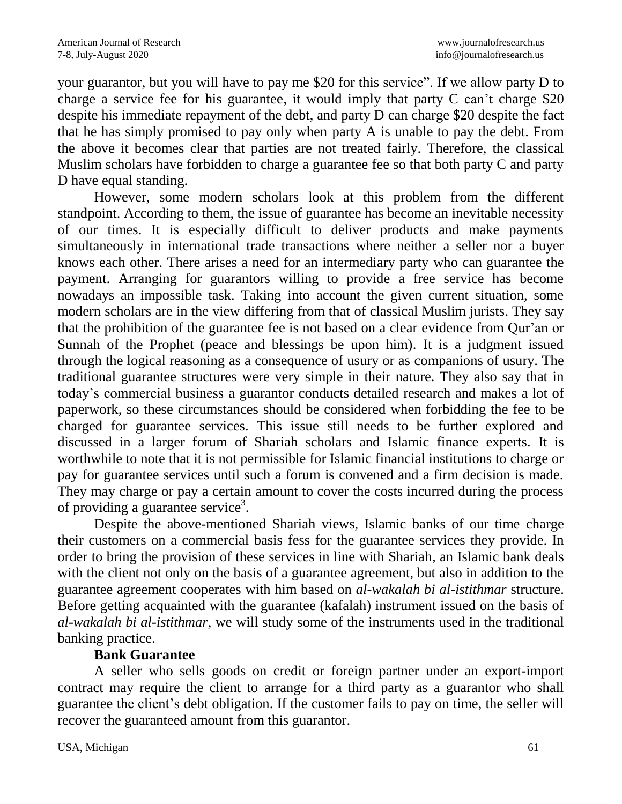your guarantor, but you will have to pay me \$20 for this service". If we allow party D to charge a service fee for his guarantee, it would imply that party C can't charge \$20 despite his immediate repayment of the debt, and party D can charge \$20 despite the fact that he has simply promised to pay only when party A is unable to pay the debt. From the above it becomes clear that parties are not treated fairly. Therefore, the classical Muslim scholars have forbidden to charge a guarantee fee so that both party C and party D have equal standing.

However, some modern scholars look at this problem from the different standpoint. According to them, the issue of guarantee has become an inevitable necessity of our times. It is especially difficult to deliver products and make payments simultaneously in international trade transactions where neither a seller nor a buyer knows each other. There arises a need for an intermediary party who can guarantee the payment. Arranging for guarantors willing to provide a free service has become nowadays an impossible task. Taking into account the given current situation, some modern scholars are in the view differing from that of classical Muslim jurists. They say that the prohibition of the guarantee fee is not based on a clear evidence from Qur'an or Sunnah of the Prophet (peace and blessings be upon him). It is a judgment issued through the logical reasoning as a consequence of usury or as companions of usury. The traditional guarantee structures were very simple in their nature. They also say that in today's commercial business a guarantor conducts detailed research and makes a lot of paperwork, so these circumstances should be considered when forbidding the fee to be charged for guarantee services. This issue still needs to be further explored and discussed in a larger forum of Shariah scholars and Islamic finance experts. It is worthwhile to note that it is not permissible for Islamic financial institutions to charge or pay for guarantee services until such a forum is convened and a firm decision is made. They may charge or pay a certain amount to cover the costs incurred during the process of providing a guarantee service<sup>3</sup>.

Despite the above-mentioned Shariah views, Islamic banks of our time charge their customers on a commercial basis fess for the guarantee services they provide. In order to bring the provision of these services in line with Shariah, an Islamic bank deals with the client not only on the basis of a guarantee agreement, but also in addition to the guarantee agreement cooperates with him based on *al-wakalah bi al-istithmar* structure. Before getting acquainted with the guarantee (kafalah) instrument issued on the basis of *al-wakalah bi al-istithmar*, we will study some of the instruments used in the traditional banking practice.

#### **Bank Guarantee**

A seller who sells goods on credit or foreign partner under an export-import contract may require the client to arrange for a third party as a guarantor who shall guarantee the client's debt obligation. If the customer fails to pay on time, the seller will recover the guaranteed amount from this guarantor.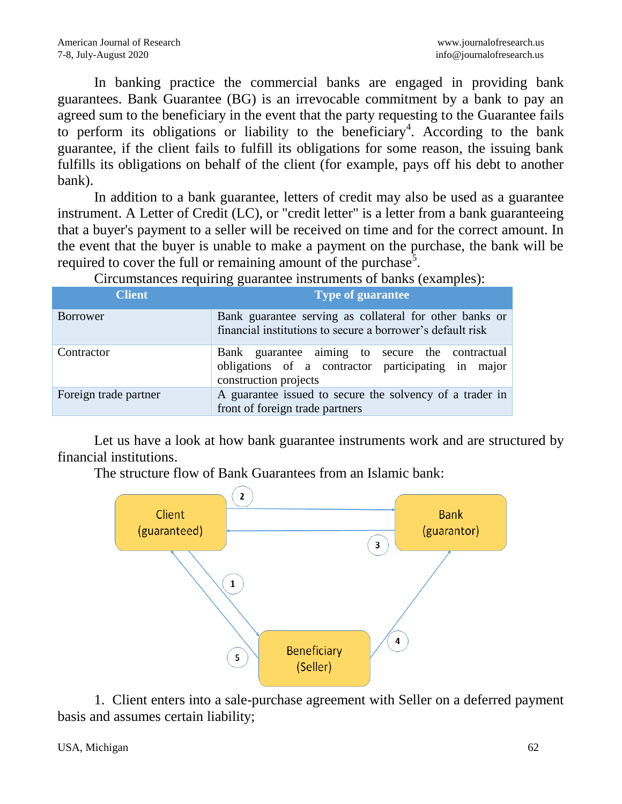In banking practice the commercial banks are engaged in providing bank guarantees. Bank Guarantee (BG) is an irrevocable commitment by a bank to pay an agreed sum to the beneficiary in the event that the party requesting to the Guarantee fails to perform its obligations or liability to the beneficiary<sup>4</sup>. According to the bank guarantee, if the client fails to fulfill its obligations for some reason, the issuing bank fulfills its obligations on behalf of the client (for example, pays off his debt to another bank).

In addition to a bank guarantee, letters of credit may also be used as a guarantee instrument. A Letter of Credit (LC), or "credit letter" is a letter from a bank guaranteeing that a buyer's payment to a seller will be received on time and for the correct amount. In the event that the buyer is unable to make a payment on the purchase, the bank will be required to cover the full or remaining amount of the purchase<sup>5</sup>.

Circumstances requiring guarantee instruments of banks (examples):

| Client                | <b>Type of guarantee</b>                                                                                                       |
|-----------------------|--------------------------------------------------------------------------------------------------------------------------------|
| <b>Borrower</b>       | Bank guarantee serving as collateral for other banks or<br>financial institutions to secure a borrower's default risk          |
| Contractor            | Bank guarantee aiming to secure the contractual<br>obligations of a contractor participating in major<br>construction projects |
| Foreign trade partner | A guarantee issued to secure the solvency of a trader in<br>front of foreign trade partners                                    |

Let us have a look at how bank guarantee instruments work and are structured by financial institutions.

The structure flow of Bank Guarantees from an Islamic bank:



1. Client enters into a sale-purchase agreement with Seller on a deferred payment basis and assumes certain liability;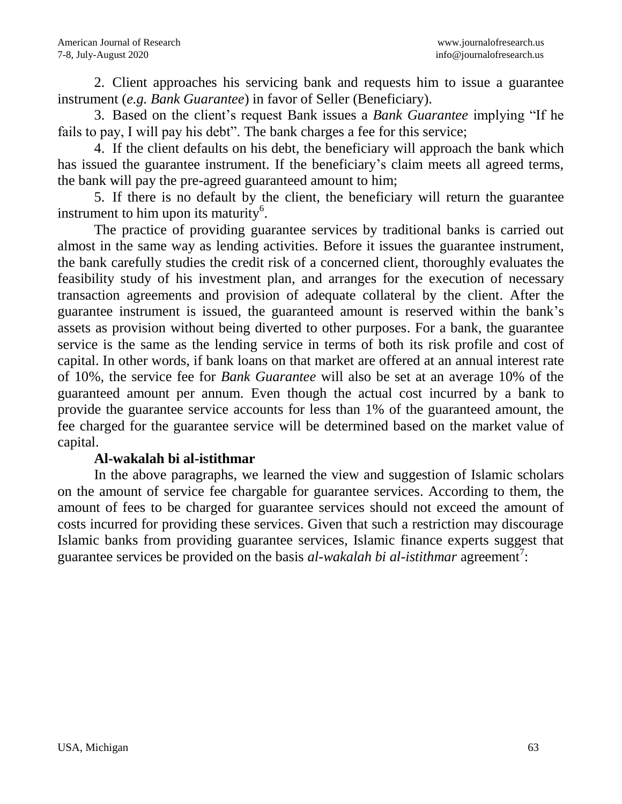2. Client approaches his servicing bank and requests him to issue a guarantee instrument (*e.g. Bank Guarantee*) in favor of Seller (Beneficiary).

3. Based on the client's request Bank issues a *Bank Guarantee* implying "If he fails to pay, I will pay his debt". The bank charges a fee for this service;

4. If the client defaults on his debt, the beneficiary will approach the bank which has issued the guarantee instrument. If the beneficiary's claim meets all agreed terms, the bank will pay the pre-agreed guaranteed amount to him;

5. If there is no default by the client, the beneficiary will return the guarantee instrument to him upon its maturity<sup>6</sup>.

The practice of providing guarantee services by traditional banks is carried out almost in the same way as lending activities. Before it issues the guarantee instrument, the bank carefully studies the credit risk of a concerned client, thoroughly evaluates the feasibility study of his investment plan, and arranges for the execution of necessary transaction agreements and provision of adequate collateral by the client. After the guarantee instrument is issued, the guaranteed amount is reserved within the bank's assets as provision without being diverted to other purposes. For a bank, the guarantee service is the same as the lending service in terms of both its risk profile and cost of capital. In other words, if bank loans on that market are offered at an annual interest rate of 10%, the service fee for *Bank Guarantee* will also be set at an average 10% of the guaranteed amount per annum. Even though the actual cost incurred by a bank to provide the guarantee service accounts for less than 1% of the guaranteed amount, the fee charged for the guarantee service will be determined based on the market value of capital.

#### **Al-wakalah bi al-istithmar**

In the above paragraphs, we learned the view and suggestion of Islamic scholars on the amount of service fee chargable for guarantee services. According to them, the amount of fees to be charged for guarantee services should not exceed the amount of costs incurred for providing these services. Given that such a restriction may discourage Islamic banks from providing guarantee services, Islamic finance experts suggest that guarantee services be provided on the basis *al-wakalah bi al-istithmar* agreement<sup>7</sup>: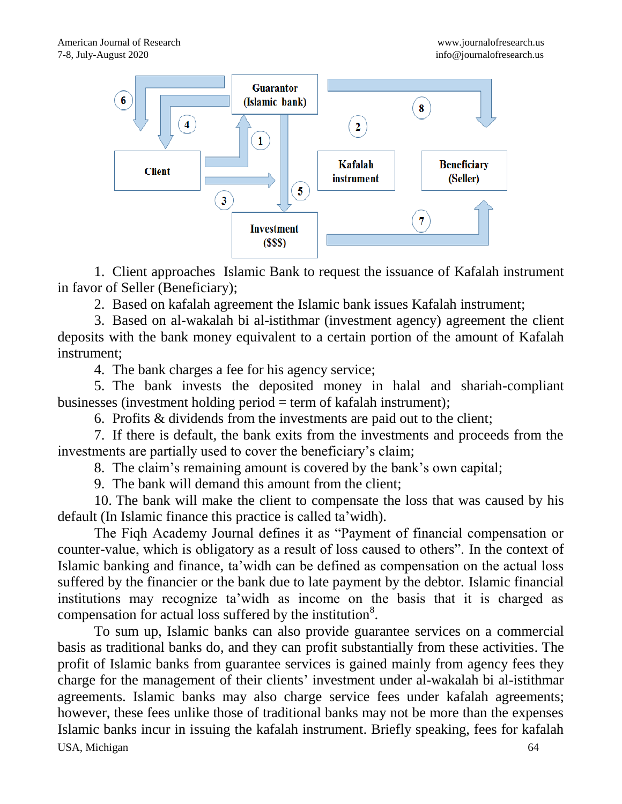

1. Client approaches Islamic Bank to request the issuance of Kafalah instrument in favor of Seller (Beneficiary);

2. Based on kafalah agreement the Islamic bank issues Kafalah instrument;

3. Based on al-wakalah bi al-istithmar (investment agency) agreement the client deposits with the bank money equivalent to a certain portion of the amount of Kafalah instrument;

4. The bank charges a fee for his agency service;

5. The bank invests the deposited money in halal and shariah-compliant businesses (investment holding period = term of kafalah instrument);

6. Profits & dividends from the investments are paid out to the client;

7. If there is default, the bank exits from the investments and proceeds from the investments are partially used to cover the beneficiary's claim;

8. The claim's remaining amount is covered by the bank's own capital;

9. The bank will demand this amount from the client;

10. The bank will make the client to compensate the loss that was caused by his default (In Islamic finance this practice is called ta'widh).

The Fiqh Academy Journal defines it as "Payment of financial compensation or counter-value, which is obligatory as a result of loss caused to others". In the context of Islamic banking and finance, ta'widh can be defined as compensation on the actual loss suffered by the financier or the bank due to late payment by the debtor. Islamic financial institutions may recognize ta'widh as income on the basis that it is charged as compensation for actual loss suffered by the institution $8$ .

USA, Michigan 64 To sum up, Islamic banks can also provide guarantee services on a commercial basis as traditional banks do, and they can profit substantially from these activities. The profit of Islamic banks from guarantee services is gained mainly from agency fees they charge for the management of their clients' investment under al-wakalah bi al-istithmar agreements. Islamic banks may also charge service fees under kafalah agreements; however, these fees unlike those of traditional banks may not be more than the expenses Islamic banks incur in issuing the kafalah instrument. Briefly speaking, fees for kafalah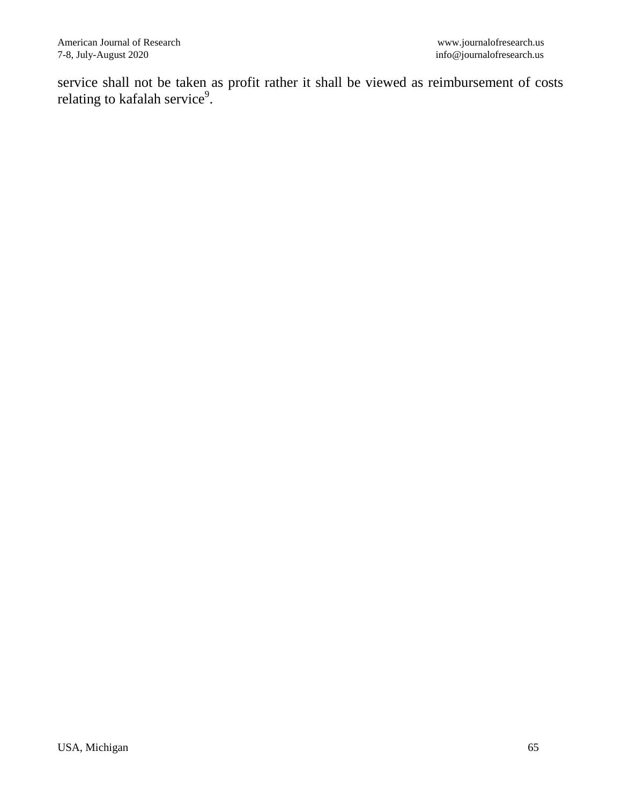service shall not be taken as profit rather it shall be viewed as reimbursement of costs relating to kafalah service $^9$ .